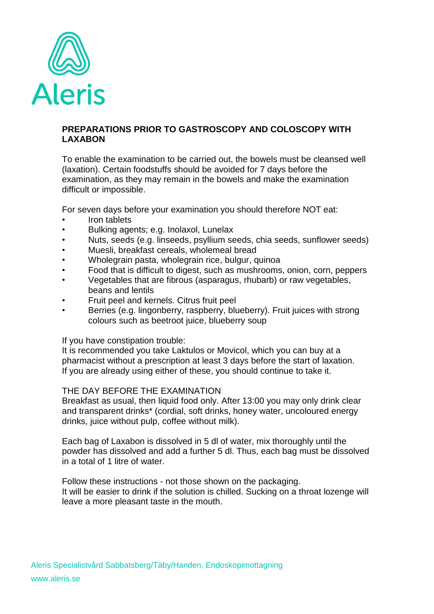

## **PREPARATIONS PRIOR TO GASTROSCOPY AND COLOSCOPY WITH LAXABON**

To enable the examination to be carried out, the bowels must be cleansed well (laxation). Certain foodstuffs should be avoided for 7 days before the examination, as they may remain in the bowels and make the examination difficult or impossible.

For seven days before your examination you should therefore NOT eat:

- Iron tablets
- Bulking agents; e.g. Inolaxol, Lunelax
- Nuts, seeds (e.g. linseeds, psyllium seeds, chia seeds, sunflower seeds)
- Muesli, breakfast cereals, wholemeal bread
- Wholegrain pasta, wholegrain rice, bulgur, quinoa
- Food that is difficult to digest, such as mushrooms, onion, corn, peppers
- Vegetables that are fibrous (asparagus, rhubarb) or raw vegetables, beans and lentils
- Fruit peel and kernels. Citrus fruit peel
- Berries (e.g. lingonberry, raspberry, blueberry). Fruit juices with strong colours such as beetroot juice, blueberry soup

If you have constipation trouble:

It is recommended you take Laktulos or Movicol, which you can buy at a pharmacist without a prescription at least 3 days before the start of laxation. If you are already using either of these, you should continue to take it.

## THE DAY BEFORE THE EXAMINATION

Breakfast as usual, then liquid food only. After 13:00 you may only drink clear and transparent drinks\* (cordial, soft drinks, honey water, uncoloured energy drinks, juice without pulp, coffee without milk).

Each bag of Laxabon is dissolved in 5 dl of water, mix thoroughly until the powder has dissolved and add a further 5 dl. Thus, each bag must be dissolved in a total of 1 litre of water.

Follow these instructions - not those shown on the packaging. It will be easier to drink if the solution is chilled. Sucking on a throat lozenge will leave a more pleasant taste in the mouth.